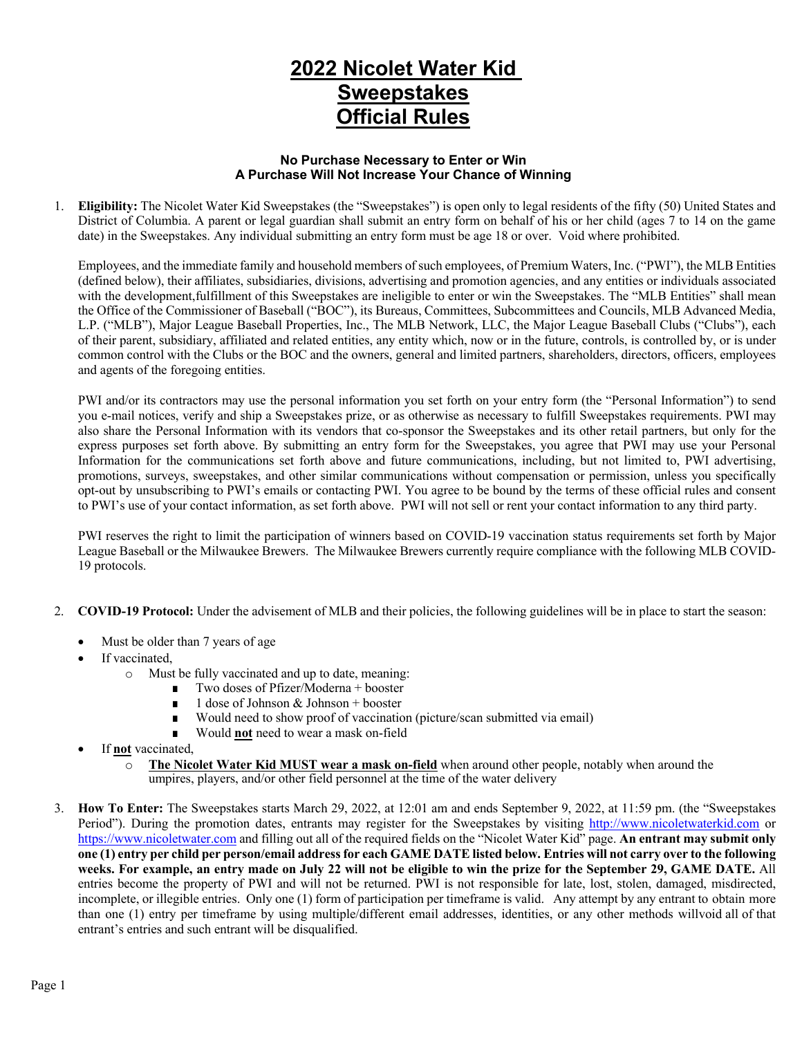## **2022 Nicolet Water Kid Sweepstakes Official Rules**

## **No Purchase Necessary to Enter or Win A Purchase Will Not Increase Your Chance of Winning**

1. **Eligibility:** The Nicolet Water Kid Sweepstakes (the "Sweepstakes") is open only to legal residents of the fifty (50) United States and District of Columbia. A parent or legal guardian shall submit an entry form on behalf of his or her child (ages 7 to 14 on the game date) in the Sweepstakes. Any individual submitting an entry form must be age 18 or over. Void where prohibited.

Employees, and the immediate family and household members of such employees, of Premium Waters, Inc. ("PWI"), the MLB Entities (defined below), their affiliates, subsidiaries, divisions, advertising and promotion agencies, and any entities or individuals associated with the development,fulfillment of this Sweepstakes are ineligible to enter or win the Sweepstakes. The "MLB Entities" shall mean the Office of the Commissioner of Baseball ("BOC"), its Bureaus, Committees, Subcommittees and Councils, MLB Advanced Media, L.P. ("MLB"), Major League Baseball Properties, Inc., The MLB Network, LLC, the Major League Baseball Clubs ("Clubs"), each of their parent, subsidiary, affiliated and related entities, any entity which, now or in the future, controls, is controlled by, or is under common control with the Clubs or the BOC and the owners, general and limited partners, shareholders, directors, officers, employees and agents of the foregoing entities.

PWI and/or its contractors may use the personal information you set forth on your entry form (the "Personal Information") to send you e-mail notices, verify and ship a Sweepstakes prize, or as otherwise as necessary to fulfill Sweepstakes requirements. PWI may also share the Personal Information with its vendors that co-sponsor the Sweepstakes and its other retail partners, but only for the express purposes set forth above. By submitting an entry form for the Sweepstakes, you agree that PWI may use your Personal Information for the communications set forth above and future communications, including, but not limited to, PWI advertising, promotions, surveys, sweepstakes, and other similar communications without compensation or permission, unless you specifically opt-out by unsubscribing to PWI's emails or contacting PWI. You agree to be bound by the terms of these official rules and consent to PWI's use of your contact information, as set forth above. PWI will not sell or rent your contact information to any third party.

PWI reserves the right to limit the participation of winners based on COVID-19 vaccination status requirements set forth by Major League Baseball or the Milwaukee Brewers. The Milwaukee Brewers currently require compliance with the following MLB COVID-19 protocols.

- 2. **COVID-19 Protocol:** Under the advisement of MLB and their policies, the following guidelines will be in place to start the season:
	- Must be older than 7 years of age
	- If vaccinated,
		- o Must be fully vaccinated and up to date, meaning:
			- Two doses of Pfizer/Moderna + booster
			- $\blacksquare$  1 dose of Johnson & Johnson + booster
			- Would need to show proof of vaccination (picture/scan submitted via email)
			- Would **not** need to wear a mask on-field
	- If **not** vaccinated,
		- o **The Nicolet Water Kid MUST wear a mask on-field** when around other people, notably when around the umpires, players, and/or other field personnel at the time of the water delivery
- 3. **How To Enter:** The Sweepstakes starts March 29, 2022, at 12:01 am and ends September 9, 2022, at 11:59 pm. (the "Sweepstakes Period"). During the promotion dates, entrants may register for the Sweepstakes by visiting http://www.nicoletwaterkid.com or https://www.nicoletwater.com and filling out all of the required fields on the "Nicolet Water Kid" page. **An entrant may submit only one (1) entry per child per person/email address for each GAME DATE listed below. Entries will not carry over to the following weeks. For example, an entry made on July 22 will not be eligible to win the prize for the September 29, GAME DATE.** All entries become the property of PWI and will not be returned. PWI is not responsible for late, lost, stolen, damaged, misdirected, incomplete, or illegible entries. Only one (1) form of participation per timeframe is valid. Any attempt by any entrant to obtain more than one (1) entry per timeframe by using multiple/different email addresses, identities, or any other methods willvoid all of that entrant's entries and such entrant will be disqualified.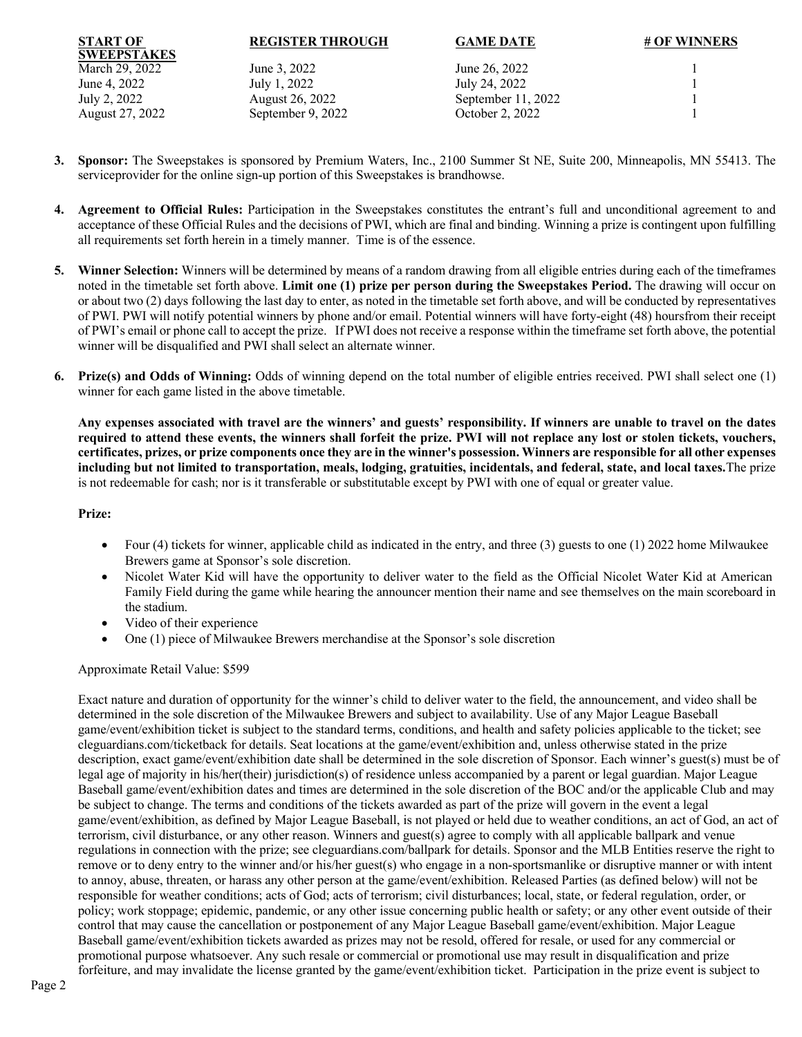| <b>REGISTER THROUGH</b> |  |
|-------------------------|--|
|                         |  |

**REGISTER THROUGH GAME DATE # OF WINNERS**

**SWEEPSTAKES** August 27, 2022 September 9, 2022 October 2, 2022 1

**START OF**

March 29, 2022 June 3, 2022 June 26, 2022 1 June 4, 2022 July 1, 2022 July 24, 2022 July 2, 2022 August 26, 2022 September 11, 2022 1

- **3. Sponsor:** The Sweepstakes is sponsored by Premium Waters, Inc., 2100 Summer St NE, Suite 200, Minneapolis, MN 55413. The serviceprovider for the online sign-up portion of this Sweepstakes is brandhowse.
- **4. Agreement to Official Rules:** Participation in the Sweepstakes constitutes the entrant's full and unconditional agreement to and acceptance of these Official Rules and the decisions of PWI, which are final and binding. Winning a prize is contingent upon fulfilling all requirements set forth herein in a timely manner. Time is of the essence.
- **5. Winner Selection:** Winners will be determined by means of a random drawing from all eligible entries during each of the timeframes noted in the timetable set forth above. **Limit one (1) prize per person during the Sweepstakes Period.** The drawing will occur on or about two (2) days following the last day to enter, as noted in the timetable set forth above, and will be conducted by representatives of PWI. PWI will notify potential winners by phone and/or email. Potential winners will have forty-eight (48) hoursfrom their receipt of PWI's email or phone call to accept the prize. If PWI does not receive a response within the timeframe set forth above, the potential winner will be disqualified and PWI shall select an alternate winner.
- **6. Prize(s) and Odds of Winning:** Odds of winning depend on the total number of eligible entries received. PWI shall select one (1) winner for each game listed in the above timetable.

**Any expenses associated with travel are the winners' and guests' responsibility. If winners are unable to travel on the dates required to attend these events, the winners shall forfeit the prize. PWI will not replace any lost or stolen tickets, vouchers, certificates, prizes, or prize components once they are in the winner's possession. Winners are responsible for all other expenses including but not limited to transportation, meals, lodging, gratuities, incidentals, and federal, state, and local taxes.**The prize is not redeemable for cash; nor is it transferable or substitutable except by PWI with one of equal or greater value.

## **Prize:**

- Four (4) tickets for winner, applicable child as indicated in the entry, and three (3) guests to one (1) 2022 home Milwaukee Brewers game at Sponsor's sole discretion.
- Nicolet Water Kid will have the opportunity to deliver water to the field as the Official Nicolet Water Kid at American Family Field during the game while hearing the announcer mention their name and see themselves on the main scoreboard in the stadium.
- Video of their experience
- One (1) piece of Milwaukee Brewers merchandise at the Sponsor's sole discretion

Approximate Retail Value: \$599

Exact nature and duration of opportunity for the winner's child to deliver water to the field, the announcement, and video shall be determined in the sole discretion of the Milwaukee Brewers and subject to availability. Use of any Major League Baseball game/event/exhibition ticket is subject to the standard terms, conditions, and health and safety policies applicable to the ticket; see cleguardians.com/ticketback for details. Seat locations at the game/event/exhibition and, unless otherwise stated in the prize description, exact game/event/exhibition date shall be determined in the sole discretion of Sponsor. Each winner's guest(s) must be of legal age of majority in his/her(their) jurisdiction(s) of residence unless accompanied by a parent or legal guardian. Major League Baseball game/event/exhibition dates and times are determined in the sole discretion of the BOC and/or the applicable Club and may be subject to change. The terms and conditions of the tickets awarded as part of the prize will govern in the event a legal game/event/exhibition, as defined by Major League Baseball, is not played or held due to weather conditions, an act of God, an act of terrorism, civil disturbance, or any other reason. Winners and guest(s) agree to comply with all applicable ballpark and venue regulations in connection with the prize; see cleguardians.com/ballpark for details. Sponsor and the MLB Entities reserve the right to remove or to deny entry to the winner and/or his/her guest(s) who engage in a non-sportsmanlike or disruptive manner or with intent to annoy, abuse, threaten, or harass any other person at the game/event/exhibition. Released Parties (as defined below) will not be responsible for weather conditions; acts of God; acts of terrorism; civil disturbances; local, state, or federal regulation, order, or policy; work stoppage; epidemic, pandemic, or any other issue concerning public health or safety; or any other event outside of their control that may cause the cancellation or postponement of any Major League Baseball game/event/exhibition. Major League Baseball game/event/exhibition tickets awarded as prizes may not be resold, offered for resale, or used for any commercial or promotional purpose whatsoever. Any such resale or commercial or promotional use may result in disqualification and prize forfeiture, and may invalidate the license granted by the game/event/exhibition ticket. Participation in the prize event is subject to